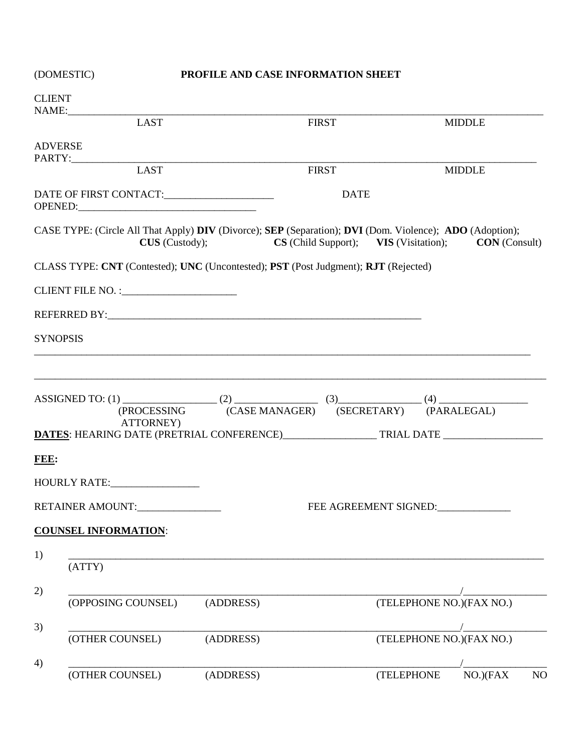## (DOMESTIC) **PROFILE AND CASE INFORMATION SHEET**

| <b>CLIENT</b> |                                                                                                                                                                                                                          |           |                                                                                                |                          |               |                |
|---------------|--------------------------------------------------------------------------------------------------------------------------------------------------------------------------------------------------------------------------|-----------|------------------------------------------------------------------------------------------------|--------------------------|---------------|----------------|
| NAME:         | <b>LAST</b>                                                                                                                                                                                                              |           | <b>FIRST</b>                                                                                   |                          | <b>MIDDLE</b> |                |
|               |                                                                                                                                                                                                                          |           |                                                                                                |                          |               |                |
|               | <b>ADVERSE</b>                                                                                                                                                                                                           |           |                                                                                                |                          |               |                |
|               | LAST                                                                                                                                                                                                                     |           | <b>FIRST</b>                                                                                   |                          | <b>MIDDLE</b> |                |
|               | DATE OF FIRST CONTACT:                                                                                                                                                                                                   |           | <b>DATE</b>                                                                                    |                          |               |                |
|               | CASE TYPE: (Circle All That Apply) DIV (Divorce); SEP (Separation); DVI (Dom. Violence); ADO (Adoption);                                                                                                                 |           | <b>CUS</b> (Custody); <b>CS</b> (Child Support); <b>VIS</b> (Visitation); <b>CON</b> (Consult) |                          |               |                |
|               | CLASS TYPE: CNT (Contested); UNC (Uncontested); PST (Post Judgment); RJT (Rejected)                                                                                                                                      |           |                                                                                                |                          |               |                |
|               |                                                                                                                                                                                                                          |           |                                                                                                |                          |               |                |
|               |                                                                                                                                                                                                                          |           |                                                                                                |                          |               |                |
|               | <b>SYNOPSIS</b>                                                                                                                                                                                                          |           |                                                                                                |                          |               |                |
|               |                                                                                                                                                                                                                          |           |                                                                                                |                          |               |                |
|               |                                                                                                                                                                                                                          |           |                                                                                                |                          |               |                |
|               | $\frac{\textrm{(a)}}{\textrm{(PROCESSING)}} \qquad \qquad \frac{\textrm{(b)}}{\textrm{(CASE MANAGER)}} \qquad \frac{\textrm{(c)}}{\textrm{(SECRETARY)}} \qquad \frac{\textrm{(d)}}{\textrm{(PARALEGAL)}}$<br>(PROCESSING |           |                                                                                                |                          |               |                |
|               | ATTORNEY)                                                                                                                                                                                                                |           |                                                                                                |                          |               |                |
|               |                                                                                                                                                                                                                          |           |                                                                                                |                          |               |                |
| FEE:          |                                                                                                                                                                                                                          |           |                                                                                                |                          |               |                |
|               | HOURLY RATE:                                                                                                                                                                                                             |           |                                                                                                |                          |               |                |
|               | RETAINER AMOUNT:                                                                                                                                                                                                         |           |                                                                                                | FEE AGREEMENT SIGNED:    |               |                |
|               | <b>COUNSEL INFORMATION:</b>                                                                                                                                                                                              |           |                                                                                                |                          |               |                |
|               |                                                                                                                                                                                                                          |           |                                                                                                |                          |               |                |
| 1)            | (ATTY)                                                                                                                                                                                                                   |           |                                                                                                |                          |               |                |
| 2)            |                                                                                                                                                                                                                          |           |                                                                                                |                          |               |                |
|               | (OPPOSING COUNSEL)                                                                                                                                                                                                       | (ADDRESS) |                                                                                                | (TELEPHONE NO.)(FAX NO.) |               |                |
| 3)            |                                                                                                                                                                                                                          |           |                                                                                                |                          |               |                |
|               | (OTHER COUNSEL)                                                                                                                                                                                                          | (ADDRESS) |                                                                                                | (TELEPHONE NO.)(FAX NO.) |               |                |
| 4)            |                                                                                                                                                                                                                          |           |                                                                                                |                          |               |                |
|               | (OTHER COUNSEL)                                                                                                                                                                                                          | (ADDRESS) |                                                                                                | (TELEPHONE               | NO.)(FAX)     | N <sub>O</sub> |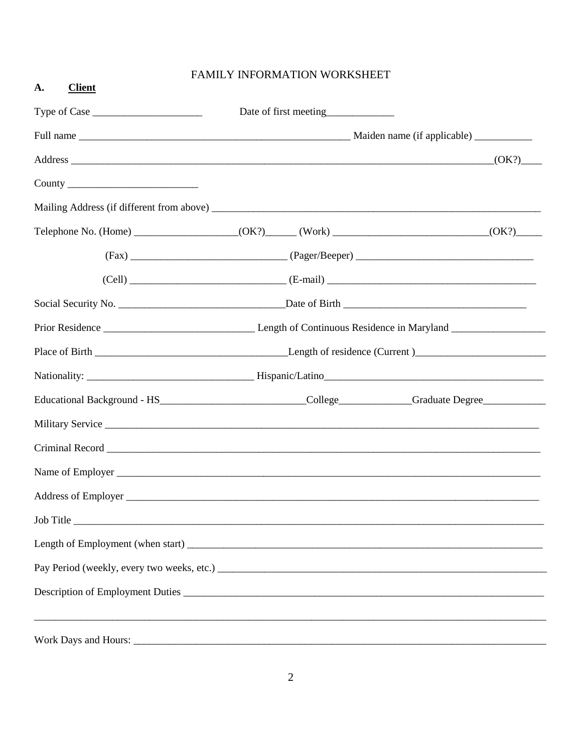A. **Client** 

## FAMILY INFORMATION WORKSHEET

| Educational Background - HS_____________________________College____________Graduate Degree__________                                                                                                                           |  |  |  |
|--------------------------------------------------------------------------------------------------------------------------------------------------------------------------------------------------------------------------------|--|--|--|
|                                                                                                                                                                                                                                |  |  |  |
|                                                                                                                                                                                                                                |  |  |  |
|                                                                                                                                                                                                                                |  |  |  |
| Address of Employer experience and the contract of the contract of the contract of the contract of the contract of the contract of the contract of the contract of the contract of the contract of the contract of the contrac |  |  |  |
| Job Title                                                                                                                                                                                                                      |  |  |  |
|                                                                                                                                                                                                                                |  |  |  |
|                                                                                                                                                                                                                                |  |  |  |
|                                                                                                                                                                                                                                |  |  |  |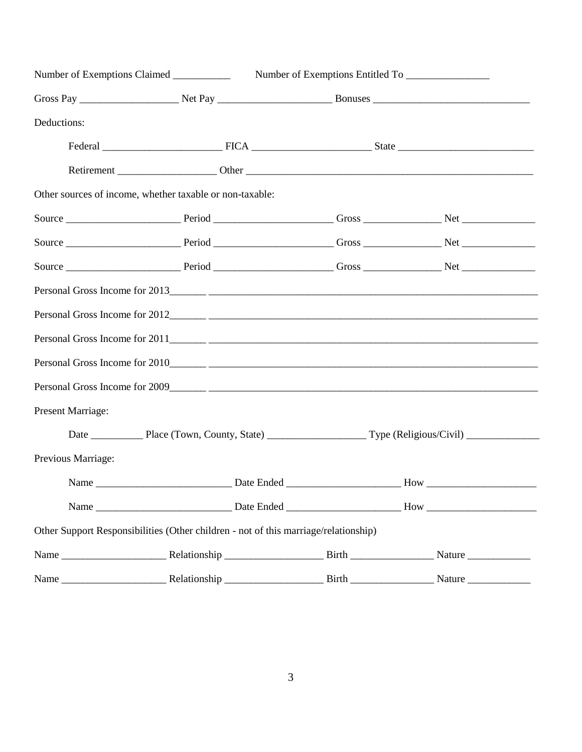| Deductions:                                              |                                                                                     |  |  |
|----------------------------------------------------------|-------------------------------------------------------------------------------------|--|--|
|                                                          |                                                                                     |  |  |
|                                                          |                                                                                     |  |  |
| Other sources of income, whether taxable or non-taxable: |                                                                                     |  |  |
|                                                          |                                                                                     |  |  |
|                                                          |                                                                                     |  |  |
|                                                          |                                                                                     |  |  |
|                                                          |                                                                                     |  |  |
|                                                          |                                                                                     |  |  |
|                                                          |                                                                                     |  |  |
|                                                          |                                                                                     |  |  |
|                                                          |                                                                                     |  |  |
| Present Marriage:                                        |                                                                                     |  |  |
|                                                          |                                                                                     |  |  |
| Previous Marriage:                                       |                                                                                     |  |  |
|                                                          |                                                                                     |  |  |
|                                                          |                                                                                     |  |  |
|                                                          | Other Support Responsibilities (Other children - not of this marriage/relationship) |  |  |
|                                                          |                                                                                     |  |  |
|                                                          |                                                                                     |  |  |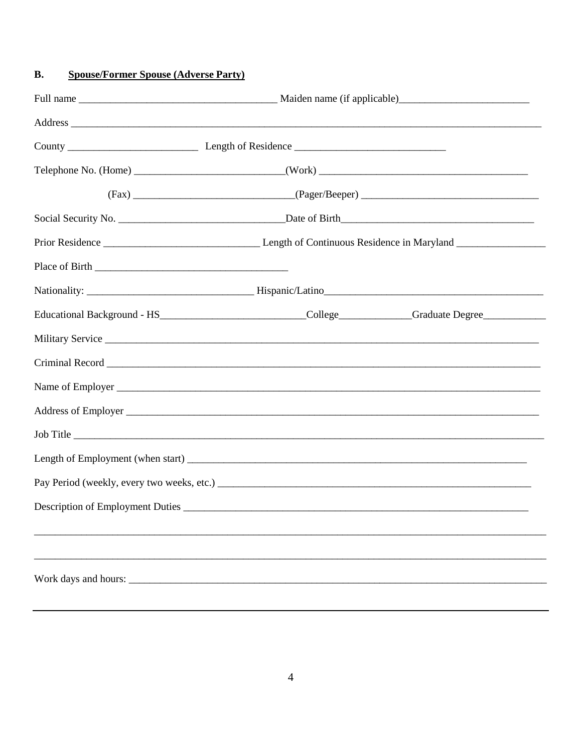| В.<br><b>Spouse/Former Spouse (Adverse Party)</b> |  |
|---------------------------------------------------|--|
|---------------------------------------------------|--|

|                      | Address experiences and the set of the set of the set of the set of the set of the set of the set of the set of the set of the set of the set of the set of the set of the set of the set of the set of the set of the set of |  |
|----------------------|-------------------------------------------------------------------------------------------------------------------------------------------------------------------------------------------------------------------------------|--|
|                      |                                                                                                                                                                                                                               |  |
|                      |                                                                                                                                                                                                                               |  |
|                      |                                                                                                                                                                                                                               |  |
|                      |                                                                                                                                                                                                                               |  |
|                      |                                                                                                                                                                                                                               |  |
|                      |                                                                                                                                                                                                                               |  |
|                      |                                                                                                                                                                                                                               |  |
|                      | Educational Background - HS______________________________College_____________Graduate Degree_________________                                                                                                                 |  |
|                      |                                                                                                                                                                                                                               |  |
|                      |                                                                                                                                                                                                                               |  |
|                      |                                                                                                                                                                                                                               |  |
|                      |                                                                                                                                                                                                                               |  |
|                      | Job Title                                                                                                                                                                                                                     |  |
|                      |                                                                                                                                                                                                                               |  |
|                      |                                                                                                                                                                                                                               |  |
|                      | Description of Employment Duties                                                                                                                                                                                              |  |
|                      |                                                                                                                                                                                                                               |  |
|                      |                                                                                                                                                                                                                               |  |
| Work days and hours: |                                                                                                                                                                                                                               |  |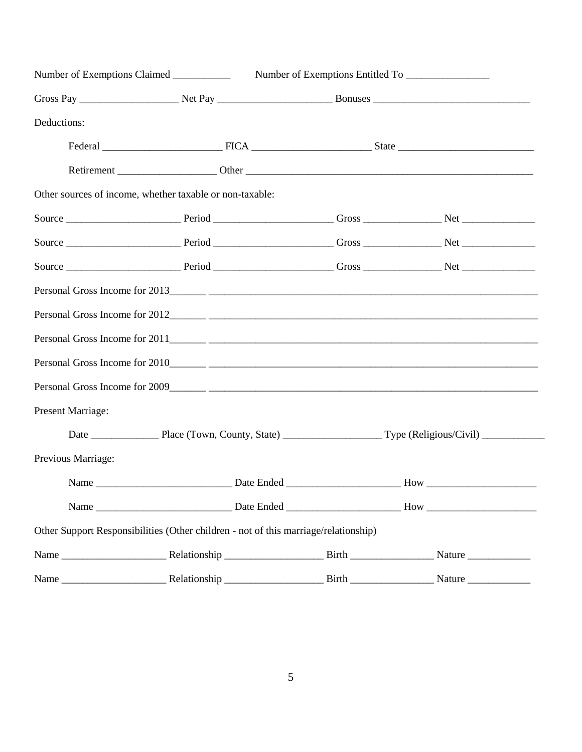| Deductions:                                              |                                                                                     |  |  |
|----------------------------------------------------------|-------------------------------------------------------------------------------------|--|--|
|                                                          |                                                                                     |  |  |
|                                                          |                                                                                     |  |  |
| Other sources of income, whether taxable or non-taxable: |                                                                                     |  |  |
|                                                          |                                                                                     |  |  |
|                                                          |                                                                                     |  |  |
|                                                          |                                                                                     |  |  |
|                                                          |                                                                                     |  |  |
|                                                          |                                                                                     |  |  |
|                                                          |                                                                                     |  |  |
|                                                          |                                                                                     |  |  |
|                                                          |                                                                                     |  |  |
| Present Marriage:                                        |                                                                                     |  |  |
|                                                          |                                                                                     |  |  |
| Previous Marriage:                                       |                                                                                     |  |  |
|                                                          |                                                                                     |  |  |
|                                                          |                                                                                     |  |  |
|                                                          | Other Support Responsibilities (Other children - not of this marriage/relationship) |  |  |
|                                                          |                                                                                     |  |  |
|                                                          |                                                                                     |  |  |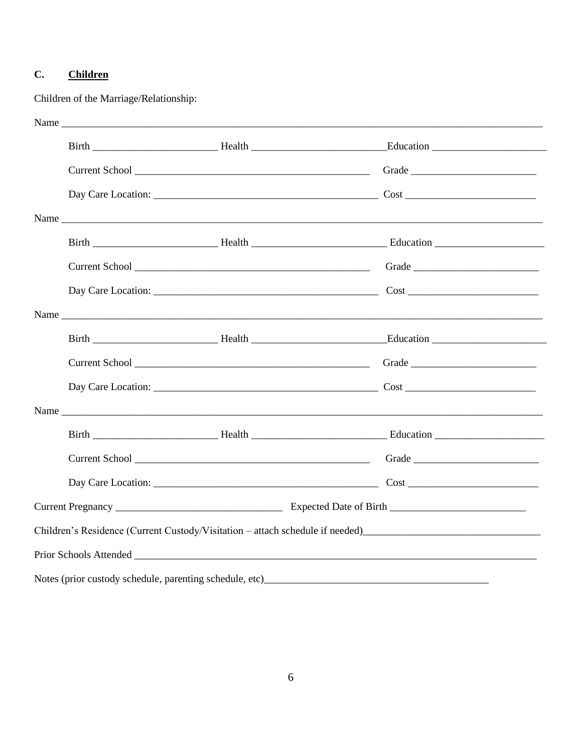## $\mathbf{C}$ . **Children**

Children of the Marriage/Relationship:

|  | Name experience and the set of the set of the set of the set of the set of the set of the set of the set of the set of the set of the set of the set of the set of the set of the set of the set of the set of the set of the |
|--|-------------------------------------------------------------------------------------------------------------------------------------------------------------------------------------------------------------------------------|
|  |                                                                                                                                                                                                                               |
|  | Grade                                                                                                                                                                                                                         |
|  |                                                                                                                                                                                                                               |
|  |                                                                                                                                                                                                                               |
|  |                                                                                                                                                                                                                               |
|  |                                                                                                                                                                                                                               |
|  |                                                                                                                                                                                                                               |
|  |                                                                                                                                                                                                                               |
|  |                                                                                                                                                                                                                               |
|  |                                                                                                                                                                                                                               |
|  |                                                                                                                                                                                                                               |
|  |                                                                                                                                                                                                                               |
|  |                                                                                                                                                                                                                               |
|  |                                                                                                                                                                                                                               |
|  | Notes (prior custody schedule, parenting schedule, etc)                                                                                                                                                                       |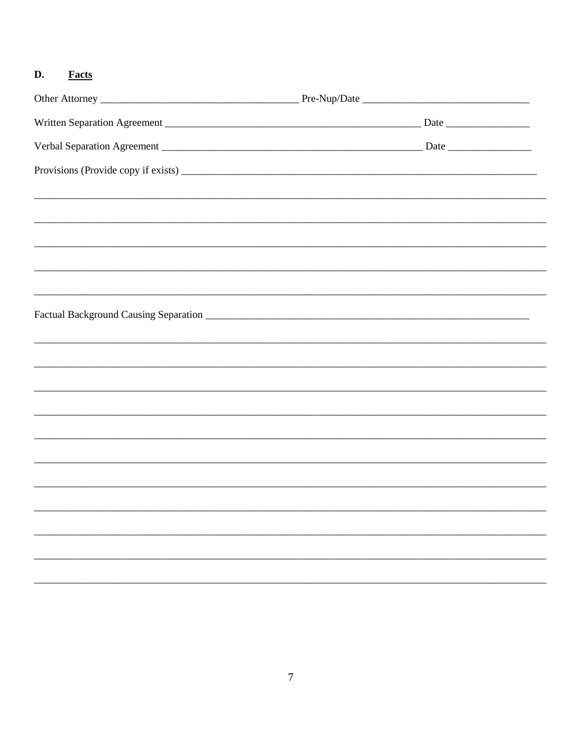## D. **Facts**